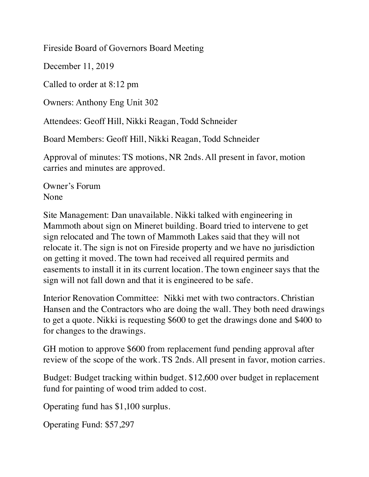Fireside Board of Governors Board Meeting

December 11, 2019

Called to order at 8:12 pm

Owners: Anthony Eng Unit 302

Attendees: Geoff Hill, Nikki Reagan, Todd Schneider

Board Members: Geoff Hill, Nikki Reagan, Todd Schneider

Approval of minutes: TS motions, NR 2nds. All present in favor, motion carries and minutes are approved.

Owner's Forum None

Site Management: Dan unavailable. Nikki talked with engineering in Mammoth about sign on Mineret building. Board tried to intervene to get sign relocated and The town of Mammoth Lakes said that they will not relocate it. The sign is not on Fireside property and we have no jurisdiction on getting it moved. The town had received all required permits and easements to install it in its current location. The town engineer says that the sign will not fall down and that it is engineered to be safe.

Interior Renovation Committee: Nikki met with two contractors. Christian Hansen and the Contractors who are doing the wall. They both need drawings to get a quote. Nikki is requesting \$600 to get the drawings done and \$400 to for changes to the drawings.

GH motion to approve \$600 from replacement fund pending approval after review of the scope of the work. TS 2nds. All present in favor, motion carries.

Budget: Budget tracking within budget. \$12,600 over budget in replacement fund for painting of wood trim added to cost.

Operating fund has \$1,100 surplus.

Operating Fund: \$57,297